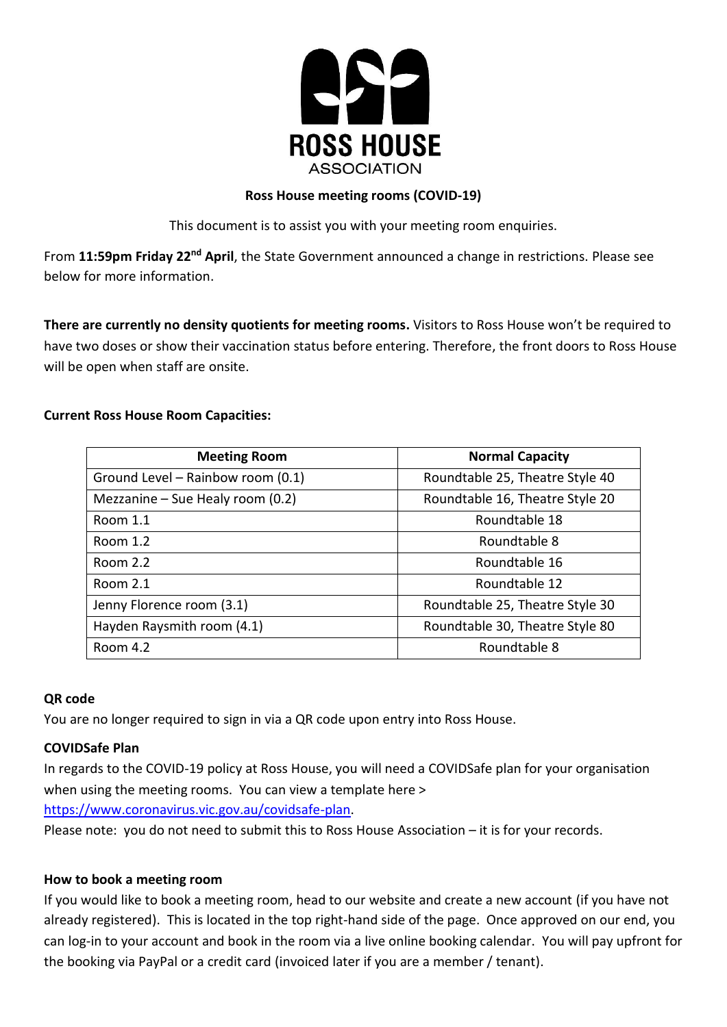

## **Ross House meeting rooms (COVID-19)**

This document is to assist you with your meeting room enquiries.

From 11:59pm Friday 22<sup>nd</sup> April, the State Government announced a change in restrictions. Please see below for more information.

**There are currently no density quotients for meeting rooms.** Visitors to Ross House won't be required to have two doses or show their vaccination status before entering. Therefore, the front doors to Ross House will be open when staff are onsite.

# **Current Ross House Room Capacities:**

| <b>Meeting Room</b>               | <b>Normal Capacity</b>          |
|-----------------------------------|---------------------------------|
| Ground Level - Rainbow room (0.1) | Roundtable 25, Theatre Style 40 |
| Mezzanine - Sue Healy room (0.2)  | Roundtable 16, Theatre Style 20 |
| Room 1.1                          | Roundtable 18                   |
| Room 1.2                          | Roundtable 8                    |
| Room 2.2                          | Roundtable 16                   |
| Room 2.1                          | Roundtable 12                   |
| Jenny Florence room (3.1)         | Roundtable 25, Theatre Style 30 |
| Hayden Raysmith room (4.1)        | Roundtable 30, Theatre Style 80 |
| Room 4.2                          | Roundtable 8                    |

#### **QR code**

You are no longer required to sign in via a QR code upon entry into Ross House.

# **COVIDSafe Plan**

In regards to the COVID-19 policy at Ross House, you will need a COVIDSafe plan for your organisation when using the meeting rooms. You can view a template here >

[https://www.coronavirus.vic.gov.au/covidsafe-plan.](https://www.coronavirus.vic.gov.au/covidsafe-plan)

Please note: you do not need to submit this to Ross House Association – it is for your records.

#### **How to book a meeting room**

If you would like to book a meeting room, head to our website and create a new account (if you have not already registered). This is located in the top right-hand side of the page. Once approved on our end, you can log-in to your account and book in the room via a live online booking calendar. You will pay upfront for the booking via PayPal or a credit card (invoiced later if you are a member / tenant).